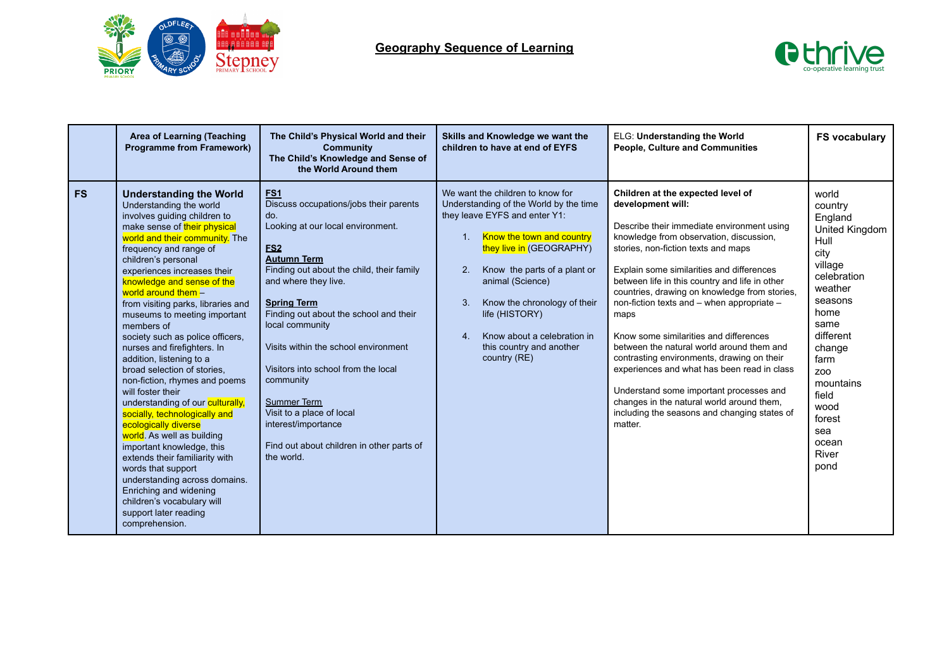



|           | Area of Learning (Teaching<br><b>Programme from Framework)</b>                                                                                                                                                                                                                                                                                                                                                                                                                                                                                                                                                                                                                                                                                                                                                                                                                                                               | The Child's Physical World and their<br><b>Community</b><br>The Child's Knowledge and Sense of<br>the World Around them                                                                                                                                                                                                                                                                                                                                                                                                                 | Skills and Knowledge we want the<br>children to have at end of EYFS                                                                                                                                                                                                                                                                                                                                   | ELG: Understanding the World<br><b>People, Culture and Communities</b>                                                                                                                                                                                                                                                                                                                                                                                                                                                                                                                                                                                                                                                              | <b>FS vocabulary</b>                                                                                                                                                                                                                         |
|-----------|------------------------------------------------------------------------------------------------------------------------------------------------------------------------------------------------------------------------------------------------------------------------------------------------------------------------------------------------------------------------------------------------------------------------------------------------------------------------------------------------------------------------------------------------------------------------------------------------------------------------------------------------------------------------------------------------------------------------------------------------------------------------------------------------------------------------------------------------------------------------------------------------------------------------------|-----------------------------------------------------------------------------------------------------------------------------------------------------------------------------------------------------------------------------------------------------------------------------------------------------------------------------------------------------------------------------------------------------------------------------------------------------------------------------------------------------------------------------------------|-------------------------------------------------------------------------------------------------------------------------------------------------------------------------------------------------------------------------------------------------------------------------------------------------------------------------------------------------------------------------------------------------------|-------------------------------------------------------------------------------------------------------------------------------------------------------------------------------------------------------------------------------------------------------------------------------------------------------------------------------------------------------------------------------------------------------------------------------------------------------------------------------------------------------------------------------------------------------------------------------------------------------------------------------------------------------------------------------------------------------------------------------------|----------------------------------------------------------------------------------------------------------------------------------------------------------------------------------------------------------------------------------------------|
| <b>FS</b> | <b>Understanding the World</b><br>Understanding the world<br>involves guiding children to<br>make sense of their physical<br>world and their community. The<br>frequency and range of<br>children's personal<br>experiences increases their<br>knowledge and sense of the<br>world around them -<br>from visiting parks, libraries and<br>museums to meeting important<br>members of<br>society such as police officers.<br>nurses and firefighters. In<br>addition, listening to a<br>broad selection of stories.<br>non-fiction, rhymes and poems<br>will foster their<br>understanding of our culturally,<br>socially, technologically and<br>ecologically diverse<br>world. As well as building<br>important knowledge, this<br>extends their familiarity with<br>words that support<br>understanding across domains.<br>Enriching and widening<br>children's vocabulary will<br>support later reading<br>comprehension. | FS <sub>1</sub><br>Discuss occupations/jobs their parents<br>do.<br>Looking at our local environment.<br>ES <sub>2</sub><br><b>Autumn Term</b><br>Finding out about the child, their family<br>and where they live.<br><b>Spring Term</b><br>Finding out about the school and their<br>local community<br>Visits within the school environment<br>Visitors into school from the local<br>community<br><b>Summer Term</b><br>Visit to a place of local<br>interest/importance<br>Find out about children in other parts of<br>the world. | We want the children to know for<br>Understanding of the World by the time<br>they leave EYFS and enter Y1:<br>Know the town and country<br>1 <sub>1</sub><br>they live in (GEOGRAPHY)<br>2.<br>Know the parts of a plant or<br>animal (Science)<br>Know the chronology of their<br>3.<br>life (HISTORY)<br>Know about a celebration in<br>4 <sup>1</sup><br>this country and another<br>country (RE) | Children at the expected level of<br>development will:<br>Describe their immediate environment using<br>knowledge from observation, discussion,<br>stories, non-fiction texts and maps<br>Explain some similarities and differences<br>between life in this country and life in other<br>countries, drawing on knowledge from stories,<br>non-fiction texts and - when appropriate -<br>maps<br>Know some similarities and differences<br>between the natural world around them and<br>contrasting environments, drawing on their<br>experiences and what has been read in class<br>Understand some important processes and<br>changes in the natural world around them,<br>including the seasons and changing states of<br>matter. | world<br>country<br>England<br>United Kingdom<br>Hull<br>city<br>village<br>celebration<br>weather<br>seasons<br>home<br>same<br>different<br>change<br>farm<br>Z00<br>mountains<br>field<br>wood<br>forest<br>sea<br>ocean<br>River<br>pond |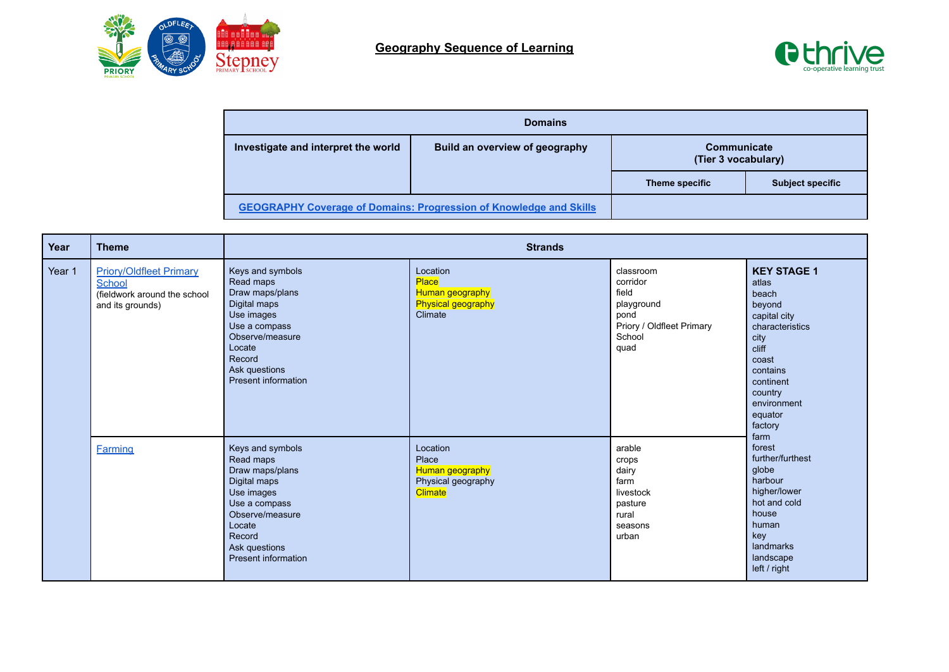



| <b>Domains</b>                                                        |                                                                           |                                    |                         |  |  |
|-----------------------------------------------------------------------|---------------------------------------------------------------------------|------------------------------------|-------------------------|--|--|
| Investigate and interpret the world<br>Build an overview of geography |                                                                           | Communicate<br>(Tier 3 vocabulary) |                         |  |  |
|                                                                       |                                                                           | Theme specific                     | <b>Subject specific</b> |  |  |
|                                                                       | <b>GEOGRAPHY Coverage of Domains: Progression of Knowledge and Skills</b> |                                    |                         |  |  |

| Year   | <b>Theme</b>                                                                                 |                                                                                                                                                                                | <b>Strands</b>                                                               |                                                                                                     |                                                                                                                                                                                                                                                                                                                                                   |
|--------|----------------------------------------------------------------------------------------------|--------------------------------------------------------------------------------------------------------------------------------------------------------------------------------|------------------------------------------------------------------------------|-----------------------------------------------------------------------------------------------------|---------------------------------------------------------------------------------------------------------------------------------------------------------------------------------------------------------------------------------------------------------------------------------------------------------------------------------------------------|
| Year 1 | <b>Priory/Oldfleet Primary</b><br>School<br>(fieldwork around the school<br>and its grounds) | Keys and symbols<br>Read maps<br>Draw maps/plans<br>Digital maps<br>Use images<br>Use a compass<br>Observe/measure<br>Locate<br>Record<br>Ask questions<br>Present information | Location<br>Place<br>Human geography<br>Physical geography<br>Climate        | classroom<br>corridor<br>field<br>playground<br>pond<br>Priory / Oldfleet Primary<br>School<br>quad | <b>KEY STAGE 1</b><br>atlas<br>beach<br>beyond<br>capital city<br>characteristics<br>city<br>cliff<br>coast<br>contains<br>continent<br>country<br>environment<br>equator<br>factory<br>farm<br>forest<br>further/furthest<br>globe<br>harbour<br>higher/lower<br>hot and cold<br>house<br>human<br>key<br>landmarks<br>landscape<br>left / right |
|        | <b>Farming</b>                                                                               | Keys and symbols<br>Read maps<br>Draw maps/plans<br>Digital maps<br>Use images<br>Use a compass<br>Observe/measure<br>Locate<br>Record<br>Ask questions<br>Present information | Location<br>Place<br>Human geography<br>Physical geography<br><b>Climate</b> | arable<br>crops<br>dairy<br>farm<br>livestock<br>pasture<br>rural<br>seasons<br>urban               |                                                                                                                                                                                                                                                                                                                                                   |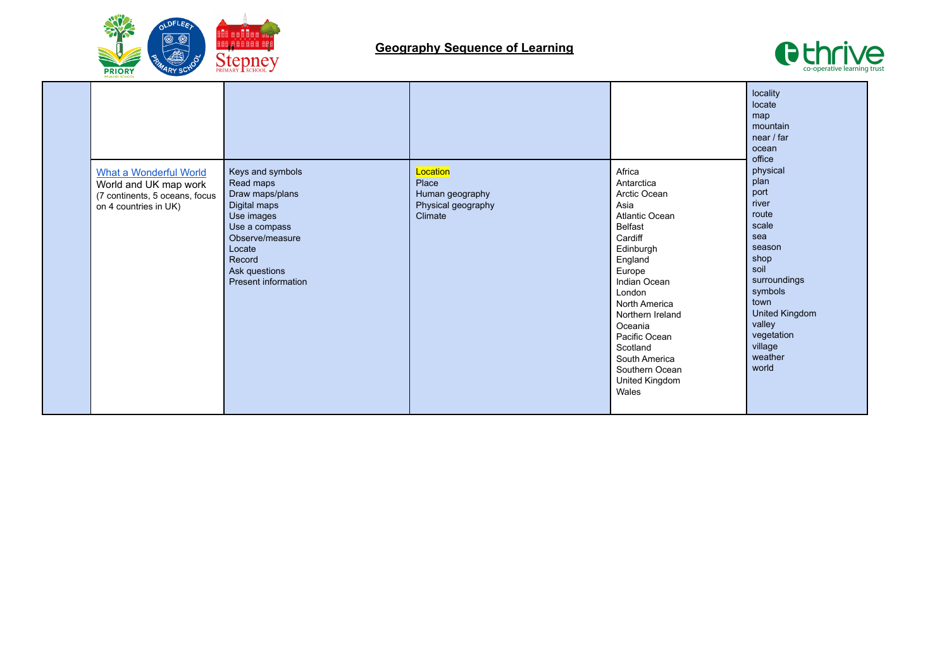



|  | <b>What a Wonderful World</b><br>World and UK map work<br>(7 continents, 5 oceans, focus<br>on 4 countries in UK) | Keys and symbols<br>Read maps<br>Draw maps/plans<br>Digital maps<br>Use images<br>Use a compass<br>Observe/measure<br>Locate<br>Record<br>Ask questions<br>Present information | Location<br>Place<br>Human geography<br>Physical geography<br>Climate | Africa<br>Antarctica<br>Arctic Ocean<br>Asia<br><b>Atlantic Ocean</b><br><b>Belfast</b><br>Cardiff<br>Edinburgh<br>England<br>Europe<br>Indian Ocean<br>London<br><b>North America</b><br>Northern Ireland<br>Oceania<br>Pacific Ocean<br>Scotland<br>South America<br>Southern Ocean<br>United Kingdom<br>Wales | locality<br>locate<br>map<br>mountain<br>near / far<br>ocean<br>office<br>physical<br>plan<br>port<br>river<br>route<br>scale<br>sea<br>season<br>shop<br>soil<br>surroundings<br>symbols<br>town<br>United Kingdom<br>valley<br>vegetation<br>village<br>weather<br>world |
|--|-------------------------------------------------------------------------------------------------------------------|--------------------------------------------------------------------------------------------------------------------------------------------------------------------------------|-----------------------------------------------------------------------|------------------------------------------------------------------------------------------------------------------------------------------------------------------------------------------------------------------------------------------------------------------------------------------------------------------|----------------------------------------------------------------------------------------------------------------------------------------------------------------------------------------------------------------------------------------------------------------------------|
|--|-------------------------------------------------------------------------------------------------------------------|--------------------------------------------------------------------------------------------------------------------------------------------------------------------------------|-----------------------------------------------------------------------|------------------------------------------------------------------------------------------------------------------------------------------------------------------------------------------------------------------------------------------------------------------------------------------------------------------|----------------------------------------------------------------------------------------------------------------------------------------------------------------------------------------------------------------------------------------------------------------------------|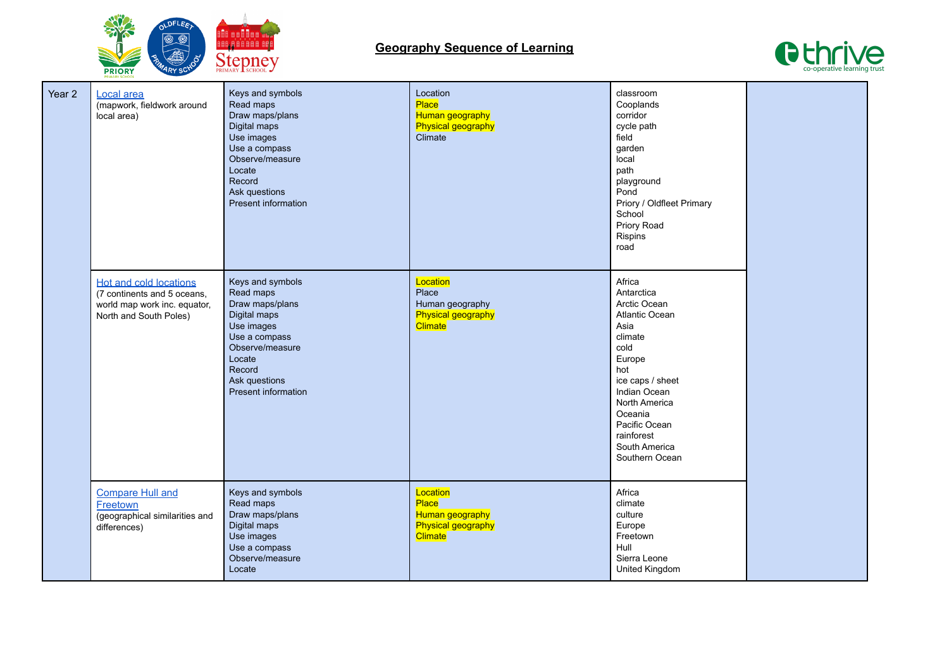



| Year 2 | Local area<br>(mapwork, fieldwork around<br>local area)                                                                | Keys and symbols<br>Read maps<br>Draw maps/plans<br>Digital maps<br>Use images<br>Use a compass<br>Observe/measure<br>Locate<br>Record<br>Ask questions<br>Present information | Location<br>Place<br>Human geography<br><b>Physical geography</b><br>Climate        | classroom<br>Cooplands<br>corridor<br>cycle path<br>field<br>garden<br>local<br>path<br>playground<br>Pond<br>Priory / Oldfleet Primary<br>School<br>Priory Road<br>Rispins<br>road                                                  |  |
|--------|------------------------------------------------------------------------------------------------------------------------|--------------------------------------------------------------------------------------------------------------------------------------------------------------------------------|-------------------------------------------------------------------------------------|--------------------------------------------------------------------------------------------------------------------------------------------------------------------------------------------------------------------------------------|--|
|        | <b>Hot and cold locations</b><br>(7 continents and 5 oceans,<br>world map work inc. equator,<br>North and South Poles) | Keys and symbols<br>Read maps<br>Draw maps/plans<br>Digital maps<br>Use images<br>Use a compass<br>Observe/measure<br>Locate<br>Record<br>Ask questions<br>Present information | Location<br>Place<br>Human geography<br>Physical geography<br><b>Climate</b>        | Africa<br>Antarctica<br>Arctic Ocean<br>Atlantic Ocean<br>Asia<br>climate<br>cold<br>Europe<br>hot<br>ice caps / sheet<br>Indian Ocean<br>North America<br>Oceania<br>Pacific Ocean<br>rainforest<br>South America<br>Southern Ocean |  |
|        | <b>Compare Hull and</b><br>Freetown<br>(geographical similarities and<br>differences)                                  | Keys and symbols<br>Read maps<br>Draw maps/plans<br>Digital maps<br>Use images<br>Use a compass<br>Observe/measure<br>Locate                                                   | Location<br>Place<br>Human geography<br><b>Physical geography</b><br><b>Climate</b> | Africa<br>climate<br>culture<br>Europe<br>Freetown<br>Hull<br>Sierra Leone<br>United Kingdom                                                                                                                                         |  |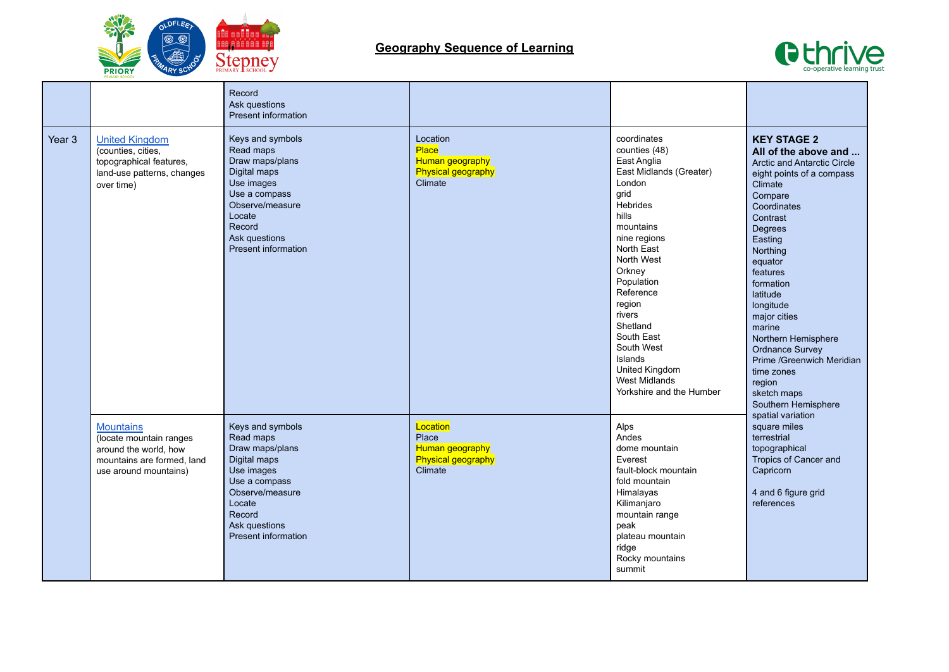



|                   |                                                                                                                             | Record<br>Ask questions<br>Present information                                                                                                                                 |                                                                              |                                                                                                                                                                                                                                                                                                                                                                 |                                                                                                                                                                                                                                                                                                                                                                                                                                     |
|-------------------|-----------------------------------------------------------------------------------------------------------------------------|--------------------------------------------------------------------------------------------------------------------------------------------------------------------------------|------------------------------------------------------------------------------|-----------------------------------------------------------------------------------------------------------------------------------------------------------------------------------------------------------------------------------------------------------------------------------------------------------------------------------------------------------------|-------------------------------------------------------------------------------------------------------------------------------------------------------------------------------------------------------------------------------------------------------------------------------------------------------------------------------------------------------------------------------------------------------------------------------------|
| Year <sub>3</sub> | <b>United Kingdom</b><br>(counties, cities,<br>topographical features,<br>land-use patterns, changes<br>over time)          | Keys and symbols<br>Read maps<br>Draw maps/plans<br>Digital maps<br>Use images<br>Use a compass<br>Observe/measure<br>Locate<br>Record<br>Ask questions<br>Present information | Location<br>Place<br>Human geography<br>Physical geography<br>Climate        | coordinates<br>counties (48)<br>East Anglia<br>East Midlands (Greater)<br>London<br>grid<br><b>Hebrides</b><br>hills<br>mountains<br>nine regions<br>North East<br>North West<br>Orkney<br>Population<br>Reference<br>region<br>rivers<br>Shetland<br>South East<br>South West<br>Islands<br>United Kingdom<br><b>West Midlands</b><br>Yorkshire and the Humber | <b>KEY STAGE 2</b><br>All of the above and<br><b>Arctic and Antarctic Circle</b><br>eight points of a compass<br>Climate<br>Compare<br>Coordinates<br>Contrast<br>Degrees<br>Easting<br>Northing<br>equator<br>features<br>formation<br>latitude<br>longitude<br>major cities<br>marine<br>Northern Hemisphere<br><b>Ordnance Survey</b><br>Prime /Greenwich Meridian<br>time zones<br>region<br>sketch maps<br>Southern Hemisphere |
|                   | <b>Mountains</b><br>(locate mountain ranges<br>around the world, how<br>mountains are formed, land<br>use around mountains) | Keys and symbols<br>Read maps<br>Draw maps/plans<br>Digital maps<br>Use images<br>Use a compass<br>Observe/measure<br>Locate<br>Record<br>Ask questions<br>Present information | Location<br>Place<br>Human geography<br><b>Physical geography</b><br>Climate | Alps<br>Andes<br>dome mountain<br>Everest<br>fault-block mountain<br>fold mountain<br>Himalayas<br>Kilimanjaro<br>mountain range<br>peak<br>plateau mountain<br>ridge<br>Rocky mountains<br>summit                                                                                                                                                              | spatial variation<br>square miles<br>terrestrial<br>topographical<br>Tropics of Cancer and<br>Capricorn<br>4 and 6 figure grid<br>references                                                                                                                                                                                                                                                                                        |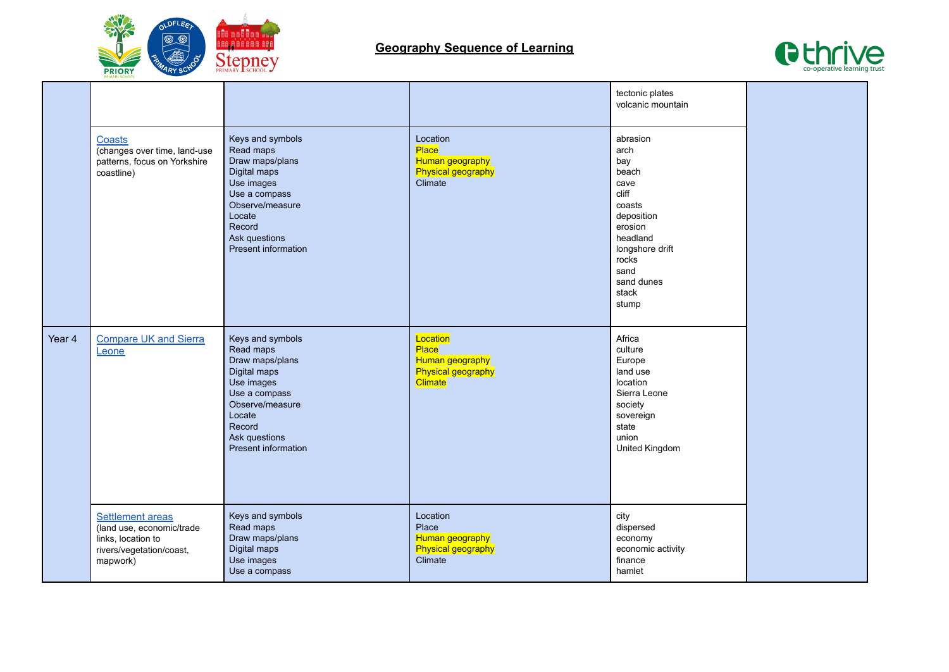



|        | <b>Coasts</b><br>(changes over time, land-use<br>patterns, focus on Yorkshire<br>coastline)                                                                 | Keys and symbols<br>Read maps<br>Draw maps/plans<br>Digital maps<br>Use images<br>Use a compass<br>Observe/measure<br>Locate<br>Record<br>Ask questions<br>Present information                                                                                                    | Location<br>Place<br>Human geography<br><b>Physical geography</b><br>Climate                                                                                        | tectonic plates<br>volcanic mountain<br>abrasion<br>arch<br>bay<br>beach<br>cave<br>cliff<br>coasts<br>deposition<br>erosion<br>headland<br>longshore drift<br>rocks<br>sand<br>sand dunes<br>stack<br>stump |  |
|--------|-------------------------------------------------------------------------------------------------------------------------------------------------------------|-----------------------------------------------------------------------------------------------------------------------------------------------------------------------------------------------------------------------------------------------------------------------------------|---------------------------------------------------------------------------------------------------------------------------------------------------------------------|--------------------------------------------------------------------------------------------------------------------------------------------------------------------------------------------------------------|--|
| Year 4 | <b>Compare UK and Sierra</b><br>Leone<br><b>Settlement areas</b><br>(land use, economic/trade<br>links, location to<br>rivers/vegetation/coast,<br>mapwork) | Keys and symbols<br>Read maps<br>Draw maps/plans<br>Digital maps<br>Use images<br>Use a compass<br>Observe/measure<br>Locate<br>Record<br>Ask questions<br>Present information<br>Keys and symbols<br>Read maps<br>Draw maps/plans<br>Digital maps<br>Use images<br>Use a compass | Location<br>Place<br>Human geography<br><b>Physical geography</b><br><b>Climate</b><br>Location<br>Place<br>Human geography<br><b>Physical geography</b><br>Climate | Africa<br>culture<br>Europe<br>land use<br>location<br>Sierra Leone<br>society<br>sovereign<br>state<br>union<br>United Kingdom<br>city<br>dispersed<br>economy<br>economic activity<br>finance<br>hamlet    |  |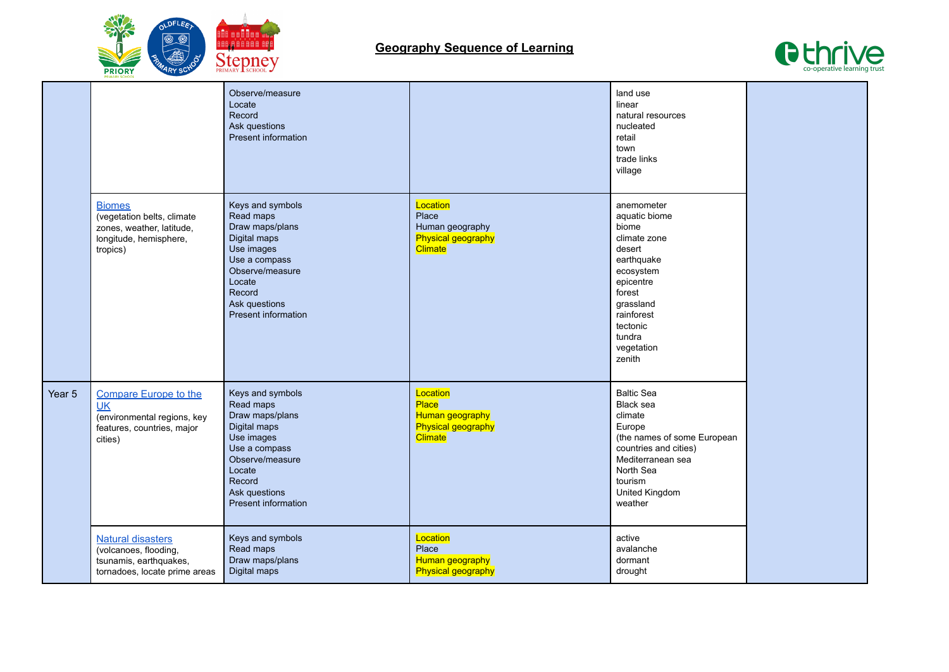



|        |                                                                                                                   | Observe/measure<br>Locate<br>Record<br>Ask questions<br>Present information                                                                                                           |                                                                                     | land use<br>linear<br>natural resources<br>nucleated<br>retail<br>town<br>trade links<br>village                                                                                          |  |
|--------|-------------------------------------------------------------------------------------------------------------------|---------------------------------------------------------------------------------------------------------------------------------------------------------------------------------------|-------------------------------------------------------------------------------------|-------------------------------------------------------------------------------------------------------------------------------------------------------------------------------------------|--|
|        | <b>Biomes</b><br>(vegetation belts, climate<br>zones, weather, latitude,<br>longitude, hemisphere,<br>tropics)    | Keys and symbols<br>Read maps<br>Draw maps/plans<br>Digital maps<br>Use images<br>Use a compass<br>Observe/measure<br>Locate<br>Record<br>Ask questions<br>Present information        | Location<br>Place<br>Human geography<br><b>Physical geography</b><br><b>Climate</b> | anemometer<br>aquatic biome<br>biome<br>climate zone<br>desert<br>earthquake<br>ecosystem<br>epicentre<br>forest<br>grassland<br>rainforest<br>tectonic<br>tundra<br>vegetation<br>zenith |  |
| Year 5 | <b>Compare Europe to the</b><br><b>UK</b><br>(environmental regions, key<br>features, countries, major<br>cities) | Keys and symbols<br>Read maps<br>Draw maps/plans<br>Digital maps<br>Use images<br>Use a compass<br>Observe/measure<br>Locate<br>Record<br>Ask questions<br><b>Present information</b> | Location<br>Place<br>Human geography<br><b>Physical geography</b><br><b>Climate</b> | <b>Baltic Sea</b><br>Black sea<br>climate<br>Europe<br>(the names of some European<br>countries and cities)<br>Mediterranean sea<br>North Sea<br>tourism<br>United Kingdom<br>weather     |  |
|        | <b>Natural disasters</b><br>(volcanoes, flooding,<br>tsunamis, earthquakes,<br>tornadoes, locate prime areas      | Keys and symbols<br>Read maps<br>Draw maps/plans<br>Digital maps                                                                                                                      | Location<br>Place<br>Human geography<br><b>Physical geography</b>                   | active<br>avalanche<br>dormant<br>drought                                                                                                                                                 |  |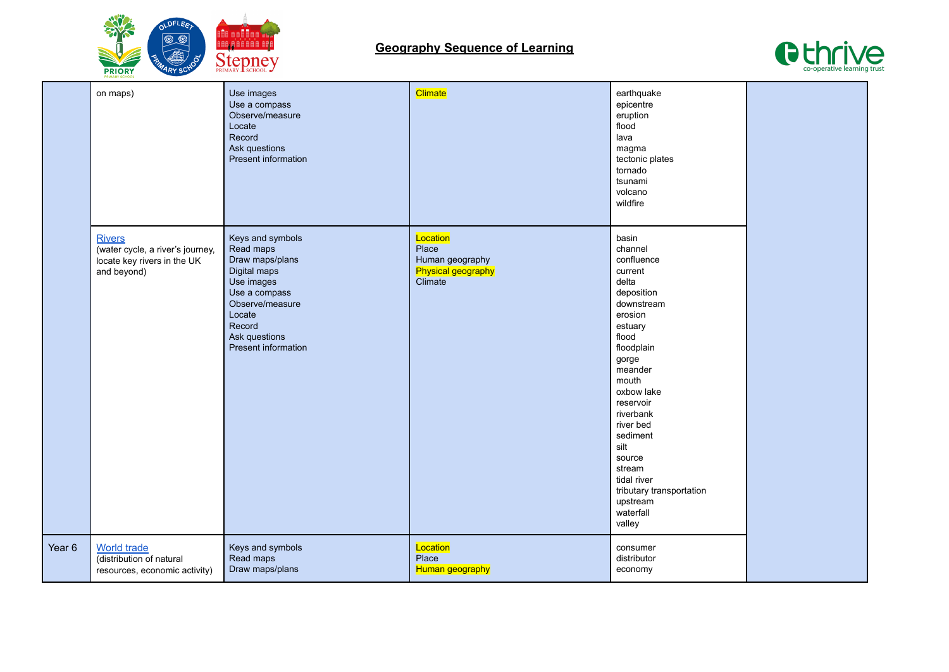



|                   | on maps)                                                                                        | Use images<br>Use a compass<br>Observe/measure<br>Locate<br>Record<br>Ask questions<br>Present information                                                                     | Climate                                                                      | earthquake<br>epicentre<br>eruption<br>flood<br>lava<br>magma<br>tectonic plates<br>tornado<br>tsunami<br>volcano<br>wildfire                                                                                                                                                                                                       |  |
|-------------------|-------------------------------------------------------------------------------------------------|--------------------------------------------------------------------------------------------------------------------------------------------------------------------------------|------------------------------------------------------------------------------|-------------------------------------------------------------------------------------------------------------------------------------------------------------------------------------------------------------------------------------------------------------------------------------------------------------------------------------|--|
|                   | <b>Rivers</b><br>(water cycle, a river's journey,<br>locate key rivers in the UK<br>and beyond) | Keys and symbols<br>Read maps<br>Draw maps/plans<br>Digital maps<br>Use images<br>Use a compass<br>Observe/measure<br>Locate<br>Record<br>Ask questions<br>Present information | Location<br>Place<br>Human geography<br><b>Physical geography</b><br>Climate | basin<br>channel<br>confluence<br>current<br>delta<br>deposition<br>downstream<br>erosion<br>estuary<br>flood<br>floodplain<br>gorge<br>meander<br>mouth<br>oxbow lake<br>reservoir<br>riverbank<br>river bed<br>sediment<br>silt<br>source<br>stream<br>tidal river<br>tributary transportation<br>upstream<br>waterfall<br>valley |  |
| Year <sub>6</sub> | <b>World trade</b><br>(distribution of natural<br>resources, economic activity)                 | Keys and symbols<br>Read maps<br>Draw maps/plans                                                                                                                               | Location<br>Place<br>Human geography                                         | consumer<br>distributor<br>economy                                                                                                                                                                                                                                                                                                  |  |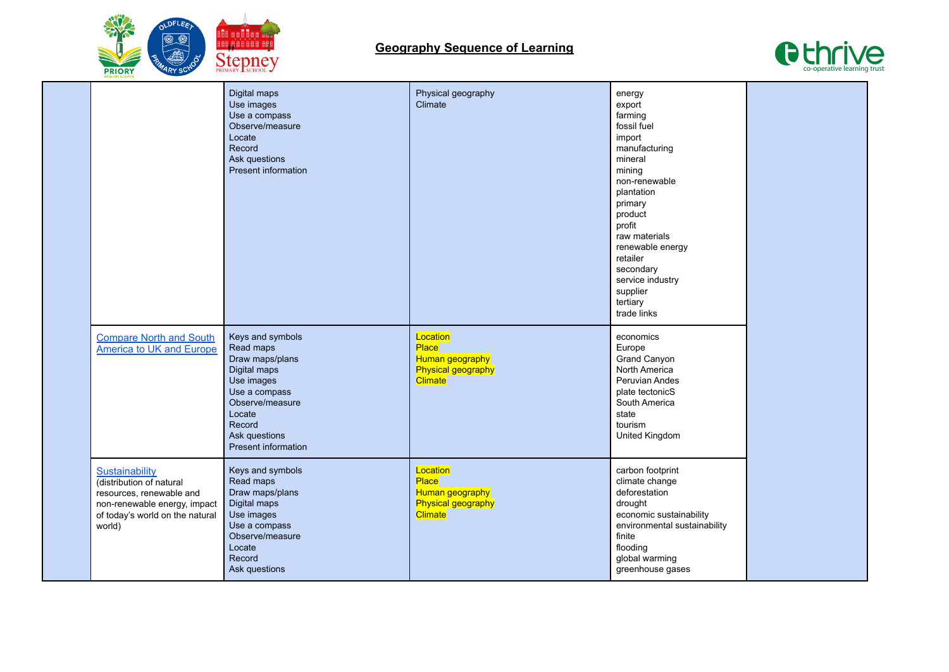



|                                                                                                                                                     | Digital maps<br>Use images<br>Use a compass<br>Observe/measure<br>Locate<br>Record<br>Ask questions<br><b>Present information</b>                                                     | Physical geography<br>Climate                                                       | energy<br>export<br>farming<br>fossil fuel<br>import<br>manufacturing<br>mineral<br>mining<br>non-renewable<br>plantation<br>primary<br>product<br>profit<br>raw materials<br>renewable energy<br>retailer<br>secondary<br>service industry<br>supplier<br>tertiary<br>trade links |  |
|-----------------------------------------------------------------------------------------------------------------------------------------------------|---------------------------------------------------------------------------------------------------------------------------------------------------------------------------------------|-------------------------------------------------------------------------------------|------------------------------------------------------------------------------------------------------------------------------------------------------------------------------------------------------------------------------------------------------------------------------------|--|
| <b>Compare North and South</b><br>America to UK and Europe                                                                                          | Keys and symbols<br>Read maps<br>Draw maps/plans<br>Digital maps<br>Use images<br>Use a compass<br>Observe/measure<br>Locate<br>Record<br>Ask questions<br><b>Present information</b> | Location<br>Place<br>Human geography<br>Physical geography<br>Climate               | economics<br>Europe<br>Grand Canyon<br>North America<br>Peruvian Andes<br>plate tectonicS<br>South America<br>state<br>tourism<br>United Kingdom                                                                                                                                   |  |
| Sustainability<br>(distribution of natural<br>resources, renewable and<br>non-renewable energy, impact<br>of today's world on the natural<br>world) | Keys and symbols<br>Read maps<br>Draw maps/plans<br>Digital maps<br>Use images<br>Use a compass<br>Observe/measure<br>Locate<br>Record<br>Ask questions                               | Location<br>Place<br>Human geography<br><b>Physical geography</b><br><b>Climate</b> | carbon footprint<br>climate change<br>deforestation<br>drought<br>economic sustainability<br>environmental sustainability<br>finite<br>flooding<br>global warming<br>greenhouse gases                                                                                              |  |